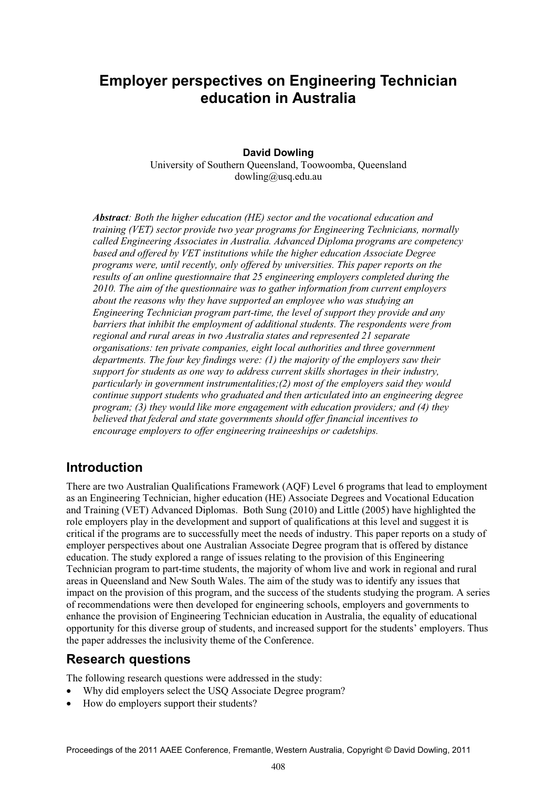# **Employer perspectives on Engineering Technician education in Australia**

#### **David Dowling**

University of Southern Queensland, Toowoomba, Queensland dowling@usq.edu.au

*Abstract: Both the higher education (HE) sector and the vocational education and training (VET) sector provide two year programs for Engineering Technicians, normally called Engineering Associates in Australia. Advanced Diploma programs are competency based and offered by VET institutions while the higher education Associate Degree programs were, until recently, only offered by universities. This paper reports on the results of an online questionnaire that 25 engineering employers completed during the 2010. The aim of the questionnaire was to gather information from current employers about the reasons why they have supported an employee who was studying an Engineering Technician program part-time, the level of support they provide and any barriers that inhibit the employment of additional students. The respondents were from regional and rural areas in two Australia states and represented 21 separate organisations: ten private companies, eight local authorities and three government departments. The four key findings were: (1) the majority of the employers saw their support for students as one way to address current skills shortages in their industry, particularly in government instrumentalities;(2) most of the employers said they would continue support students who graduated and then articulated into an engineering degree program; (3) they would like more engagement with education providers; and (4) they believed that federal and state governments should offer financial incentives to encourage employers to offer engineering traineeships or cadetships.* 

## **Introduction**

There are two Australian Qualifications Framework (AQF) Level 6 programs that lead to employment as an Engineering Technician, higher education (HE) Associate Degrees and Vocational Education and Training (VET) Advanced Diplomas. Both Sung (2010) and Little (2005) have highlighted the role employers play in the development and support of qualifications at this level and suggest it is critical if the programs are to successfully meet the needs of industry. This paper reports on a study of employer perspectives about one Australian Associate Degree program that is offered by distance education. The study explored a range of issues relating to the provision of this Engineering Technician program to part-time students, the majority of whom live and work in regional and rural areas in Queensland and New South Wales. The aim of the study was to identify any issues that impact on the provision of this program, and the success of the students studying the program. A series of recommendations were then developed for engineering schools, employers and governments to enhance the provision of Engineering Technician education in Australia, the equality of educational opportunity for this diverse group of students, and increased support for the students' employers. Thus the paper addresses the inclusivity theme of the Conference.

## **Research questions**

The following research questions were addressed in the study:

- Why did employers select the USQ Associate Degree program?
- How do employers support their students?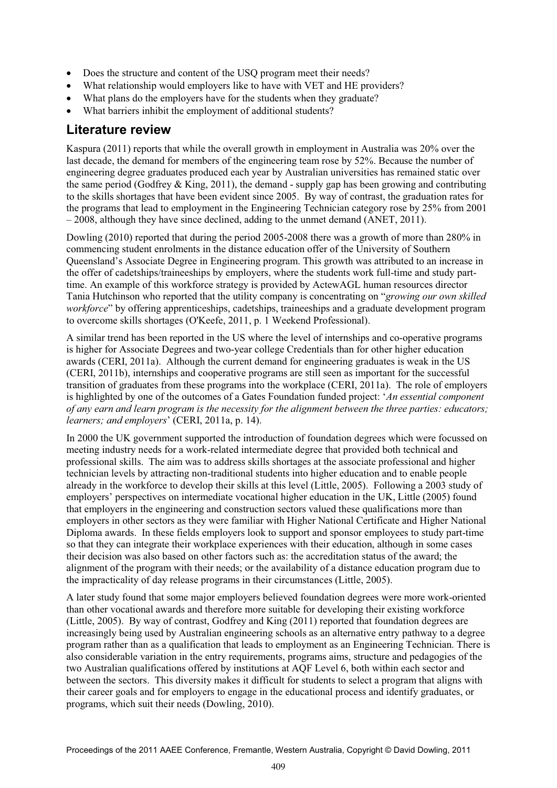- Does the structure and content of the USQ program meet their needs?
- What relationship would employers like to have with VET and HE providers?
- $\bullet$ What plans do the employers have for the students when they graduate?
- What barriers inhibit the employment of additional students?

### **Literature review**

Kaspura (2011) reports that while the overall growth in employment in Australia was 20% over the last decade, the demand for members of the engineering team rose by 52%. Because the number of engineering degree graduates produced each year by Australian universities has remained static over the same period (Godfrey  $&$  King, 2011), the demand - supply gap has been growing and contributing to the skills shortages that have been evident since 2005. By way of contrast, the graduation rates for the programs that lead to employment in the Engineering Technician category rose by 25% from 2001 – 2008, although they have since declined, adding to the unmet demand (ANET, 2011).

Dowling (2010) reported that during the period 2005-2008 there was a growth of more than 280% in commencing student enrolments in the distance education offer of the University of Southern Queensland's Associate Degree in Engineering program. This growth was attributed to an increase in the offer of cadetships/traineeships by employers, where the students work full-time and study parttime. An example of this workforce strategy is provided by ActewAGL human resources director Tania Hutchinson who reported that the utility company is concentrating on "*growing our own skilled workforce*" by offering apprenticeships, cadetships, traineeships and a graduate development program to overcome skills shortages (O'Keefe, 2011, p. 1 Weekend Professional).

A similar trend has been reported in the US where the level of internships and co-operative programs is higher for Associate Degrees and two-year college Credentials than for other higher education awards (CERI, 2011a). Although the current demand for engineering graduates is weak in the US (CERI, 2011b), internships and cooperative programs are still seen as important for the successful transition of graduates from these programs into the workplace (CERI, 2011a). The role of employers is highlighted by one of the outcomes of a Gates Foundation funded project: '*An essential component of any earn and learn program is the necessity for the alignment between the three parties: educators; learners; and employers*' (CERI, 2011a, p. 14).

In 2000 the UK government supported the introduction of foundation degrees which were focussed on meeting industry needs for a work-related intermediate degree that provided both technical and professional skills. The aim was to address skills shortages at the associate professional and higher technician levels by attracting non-traditional students into higher education and to enable people already in the workforce to develop their skills at this level (Little, 2005). Following a 2003 study of employers' perspectives on intermediate vocational higher education in the UK, Little (2005) found that employers in the engineering and construction sectors valued these qualifications more than employers in other sectors as they were familiar with Higher National Certificate and Higher National Diploma awards. In these fields employers look to support and sponsor employees to study part-time so that they can integrate their workplace experiences with their education, although in some cases their decision was also based on other factors such as: the accreditation status of the award; the alignment of the program with their needs; or the availability of a distance education program due to the impracticality of day release programs in their circumstances (Little, 2005).

A later study found that some major employers believed foundation degrees were more work-oriented than other vocational awards and therefore more suitable for developing their existing workforce (Little, 2005). By way of contrast, Godfrey and King (2011) reported that foundation degrees are increasingly being used by Australian engineering schools as an alternative entry pathway to a degree program rather than as a qualification that leads to employment as an Engineering Technician. There is also considerable variation in the entry requirements, programs aims, structure and pedagogies of the two Australian qualifications offered by institutions at AQF Level 6, both within each sector and between the sectors. This diversity makes it difficult for students to select a program that aligns with their career goals and for employers to engage in the educational process and identify graduates, or programs, which suit their needs (Dowling, 2010).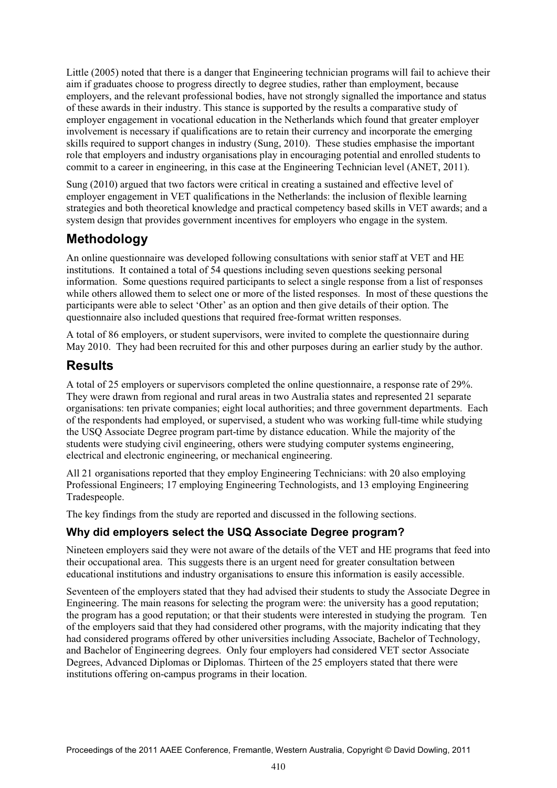Little (2005) noted that there is a danger that Engineering technician programs will fail to achieve their aim if graduates choose to progress directly to degree studies, rather than employment, because employers, and the relevant professional bodies, have not strongly signalled the importance and status of these awards in their industry. This stance is supported by the results a comparative study of employer engagement in vocational education in the Netherlands which found that greater employer involvement is necessary if qualifications are to retain their currency and incorporate the emerging skills required to support changes in industry (Sung, 2010). These studies emphasise the important role that employers and industry organisations play in encouraging potential and enrolled students to commit to a career in engineering, in this case at the Engineering Technician level (ANET, 2011).

Sung (2010) argued that two factors were critical in creating a sustained and effective level of employer engagement in VET qualifications in the Netherlands: the inclusion of flexible learning strategies and both theoretical knowledge and practical competency based skills in VET awards; and a system design that provides government incentives for employers who engage in the system.

## **Methodology**

An online questionnaire was developed following consultations with senior staff at VET and HE institutions. It contained a total of 54 questions including seven questions seeking personal information. Some questions required participants to select a single response from a list of responses while others allowed them to select one or more of the listed responses. In most of these questions the participants were able to select 'Other' as an option and then give details of their option. The questionnaire also included questions that required free-format written responses.

A total of 86 employers, or student supervisors, were invited to complete the questionnaire during May 2010. They had been recruited for this and other purposes during an earlier study by the author.

## **Results**

A total of 25 employers or supervisors completed the online questionnaire, a response rate of 29%. They were drawn from regional and rural areas in two Australia states and represented 21 separate organisations: ten private companies; eight local authorities; and three government departments. Each of the respondents had employed, or supervised, a student who was working full-time while studying the USQ Associate Degree program part-time by distance education. While the majority of the students were studying civil engineering, others were studying computer systems engineering, electrical and electronic engineering, or mechanical engineering.

All 21 organisations reported that they employ Engineering Technicians: with 20 also employing Professional Engineers; 17 employing Engineering Technologists, and 13 employing Engineering Tradespeople.

The key findings from the study are reported and discussed in the following sections.

### **Why did employers select the USQ Associate Degree program?**

Nineteen employers said they were not aware of the details of the VET and HE programs that feed into their occupational area. This suggests there is an urgent need for greater consultation between educational institutions and industry organisations to ensure this information is easily accessible.

Seventeen of the employers stated that they had advised their students to study the Associate Degree in Engineering. The main reasons for selecting the program were: the university has a good reputation; the program has a good reputation; or that their students were interested in studying the program. Ten of the employers said that they had considered other programs, with the majority indicating that they had considered programs offered by other universities including Associate, Bachelor of Technology, and Bachelor of Engineering degrees. Only four employers had considered VET sector Associate Degrees, Advanced Diplomas or Diplomas. Thirteen of the 25 employers stated that there were institutions offering on-campus programs in their location.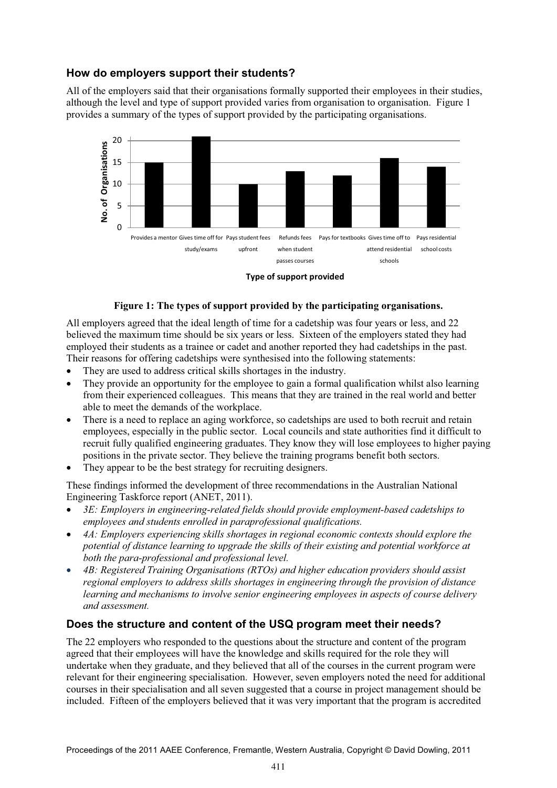## **How do employers support their students?**

All of the employers said that their organisations formally supported their employees in their studies, although the level and type of support provided varies from organisation to organisation. Figure 1 provides a summary of the types of support provided by the participating organisations.



**Type of support provided** 

#### **Figure 1: The types of support provided by the participating organisations.**

All employers agreed that the ideal length of time for a cadetship was four years or less, and 22 believed the maximum time should be six years or less. Sixteen of the employers stated they had employed their students as a trainee or cadet and another reported they had cadetships in the past. Their reasons for offering cadetships were synthesised into the following statements:

- $\bullet$ They are used to address critical skills shortages in the industry.
- $\bullet$  They provide an opportunity for the employee to gain a formal qualification whilst also learning from their experienced colleagues. This means that they are trained in the real world and better able to meet the demands of the workplace.
- $\bullet$  There is a need to replace an aging workforce, so cadetships are used to both recruit and retain employees, especially in the public sector. Local councils and state authorities find it difficult to recruit fully qualified engineering graduates. They know they will lose employees to higher paying positions in the private sector. They believe the training programs benefit both sectors.
- $\bullet$ They appear to be the best strategy for recruiting designers.

These findings informed the development of three recommendations in the Australian National Engineering Taskforce report (ANET, 2011).

- - *3E: Employers in engineering-related fields should provide employment-based cadetships to employees and students enrolled in paraprofessional qualifications.*
- $\bullet$  *4A: Employers experiencing skills shortages in regional economic contexts should explore the potential of distance learning to upgrade the skills of their existing and potential workforce at both the para-professional and professional level.*
- - *4B: Registered Training Organisations (RTOs) and higher education providers should assist regional employers to address skills shortages in engineering through the provision of distance learning and mechanisms to involve senior engineering employees in aspects of course delivery and assessment.*

### **Does the structure and content of the USQ program meet their needs?**

The 22 employers who responded to the questions about the structure and content of the program agreed that their employees will have the knowledge and skills required for the role they will undertake when they graduate, and they believed that all of the courses in the current program were relevant for their engineering specialisation. However, seven employers noted the need for additional courses in their specialisation and all seven suggested that a course in project management should be included. Fifteen of the employers believed that it was very important that the program is accredited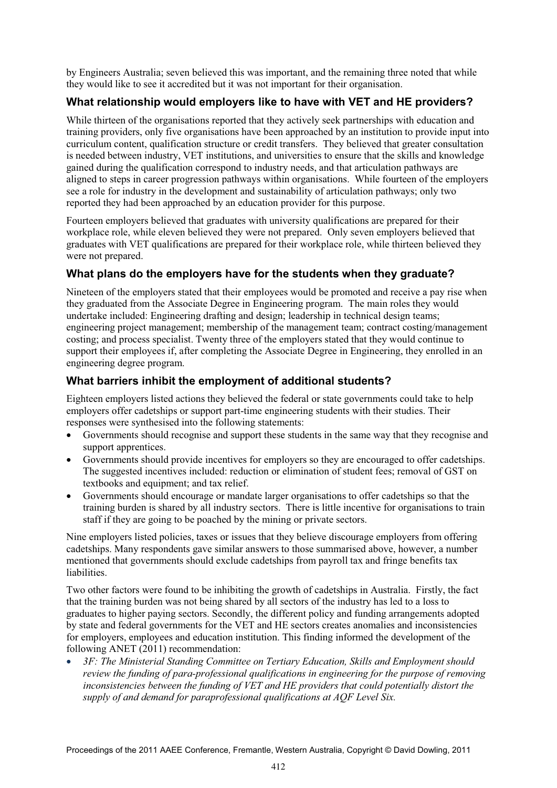by Engineers Australia; seven believed this was important, and the remaining three noted that while they would like to see it accredited but it was not important for their organisation.

## **What relationship would employers like to have with VET and HE providers?**

While thirteen of the organisations reported that they actively seek partnerships with education and training providers, only five organisations have been approached by an institution to provide input into curriculum content, qualification structure or credit transfers. They believed that greater consultation is needed between industry, VET institutions, and universities to ensure that the skills and knowledge gained during the qualification correspond to industry needs, and that articulation pathways are aligned to steps in career progression pathways within organisations. While fourteen of the employers see a role for industry in the development and sustainability of articulation pathways; only two reported they had been approached by an education provider for this purpose.

Fourteen employers believed that graduates with university qualifications are prepared for their workplace role, while eleven believed they were not prepared. Only seven employers believed that graduates with VET qualifications are prepared for their workplace role, while thirteen believed they were not prepared.

## **What plans do the employers have for the students when they graduate?**

Nineteen of the employers stated that their employees would be promoted and receive a pay rise when they graduated from the Associate Degree in Engineering program. The main roles they would undertake included: Engineering drafting and design; leadership in technical design teams; engineering project management; membership of the management team; contract costing/management costing; and process specialist. Twenty three of the employers stated that they would continue to support their employees if, after completing the Associate Degree in Engineering, they enrolled in an engineering degree program.

## **What barriers inhibit the employment of additional students?**

Eighteen employers listed actions they believed the federal or state governments could take to help employers offer cadetships or support part-time engineering students with their studies. Their responses were synthesised into the following statements:

- $\bullet$  Governments should recognise and support these students in the same way that they recognise and support apprentices.
- $\bullet$  Governments should provide incentives for employers so they are encouraged to offer cadetships. The suggested incentives included: reduction or elimination of student fees; removal of GST on textbooks and equipment; and tax relief.
- $\bullet$  Governments should encourage or mandate larger organisations to offer cadetships so that the training burden is shared by all industry sectors. There is little incentive for organisations to train staff if they are going to be poached by the mining or private sectors.

Nine employers listed policies, taxes or issues that they believe discourage employers from offering cadetships. Many respondents gave similar answers to those summarised above, however, a number mentioned that governments should exclude cadetships from payroll tax and fringe benefits tax liabilities.

Two other factors were found to be inhibiting the growth of cadetships in Australia. Firstly, the fact that the training burden was not being shared by all sectors of the industry has led to a loss to graduates to higher paying sectors. Secondly, the different policy and funding arrangements adopted by state and federal governments for the VET and HE sectors creates anomalies and inconsistencies for employers, employees and education institution. This finding informed the development of the following ANET (2011) recommendation:

- *3F: The Ministerial Standing Committee on Tertiary Education, Skills and Employment should review the funding of para-professional qualifications in engineering for the purpose of removing inconsistencies between the funding of VET and HE providers that could potentially distort the supply of and demand for paraprofessional qualifications at AQF Level Six.*